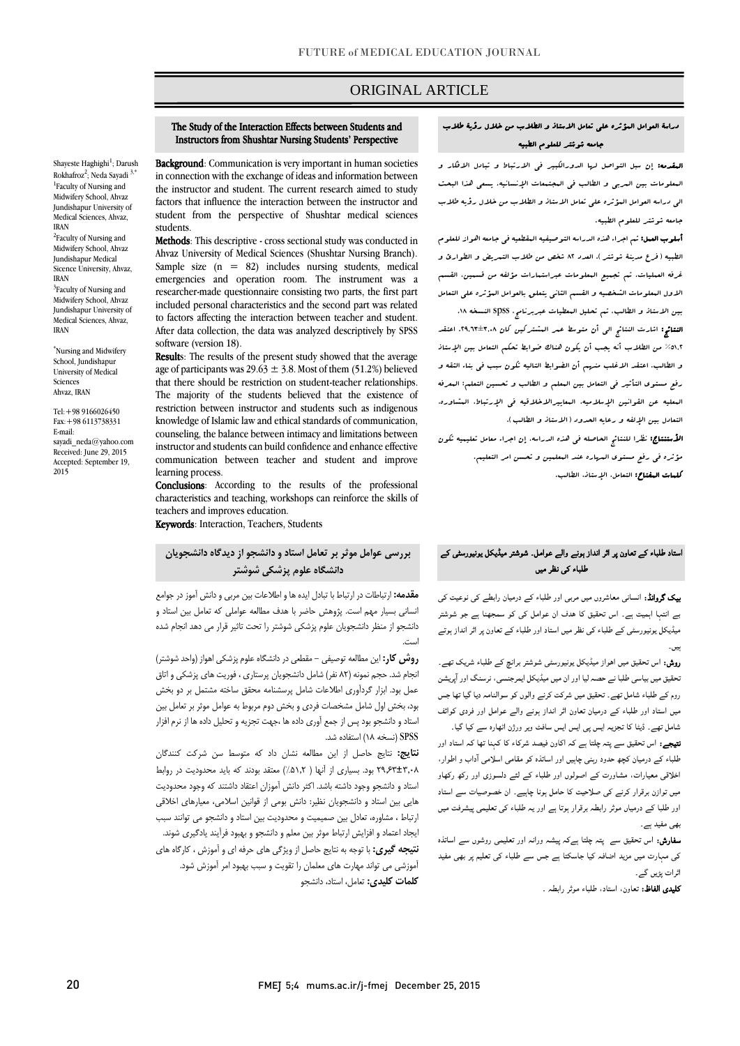# ORIGINAL ARTICLE

#### The Study of the Interaction Effects between Students and Instructors from Shushtar Nursing Students' Perspective

Shayeste Haghighi<sup>1</sup>; Darush Rokhafroz<sup>2</sup>; Neda Sayadi <sup>3,\*</sup> <sup>1</sup>Faculty of Nursing and Midwifery School, Ahvaz Jundishapur University of Medical Sciences, Ahvaz, IRAN

<sup>2</sup>Faculty of Nursing and Midwifery School, Ahvaz Jundishapur Medical Sicence University, Ahvaz, IRAN <sup>3</sup>Faculty of Nursing and

Midwifery School, Ahvaz Jundishapur University of Medical Sciences, Ahvaz, IRAN

\*Nursing and Midwifery School, Jundishapur University of Medical Sciences Ahvaz, IRAN

Tel:+98 9166026450 Fax:+98 6113738331 E-mail: sayadi\_neda@yahoo.com Received: June 29, 2015 Accepted: September 19, 2015

Background: Communication is very important in human societies in connection with the exchange of ideas and information between the instructor and student. The current research aimed to study factors that influence the interaction between the instructor and student from the perspective of Shushtar medical sciences students.

Methods: This descriptive - cross sectional study was conducted in Ahvaz University of Medical Sciences (Shushtar Nursing Branch). Sample size (n = 82) includes nursing students, medical emergencies and operation room. The instrument was a researcher-made questionnaire consisting two parts, the first part included personal characteristics and the second part was related to factors affecting the interaction between teacher and student. After data collection, the data was analyzed descriptively by SPSS software (version 18).

Results: The results of the present study showed that the average age of participants was  $29.63 \pm 3.8$ . Most of them (51.2%) believed that there should be restriction on student-teacher relationships. The majority of the students believed that the existence of restriction between instructor and students such as indigenous knowledge of Islamic law and ethical standards of communication, counseling, the balance between intimacy and limitations between instructor and students can build confidence and enhance effective communication between teacher and student and improve learning process.

Conclusions: According to the results of the professional characteristics and teaching, workshops can reinforce the skills of teachers and improves education.

Keywords: Interaction, Teachers, Students

# **بررسی عوامل موثر بر تعامل استاد و دانشجو از دیدگاه دانشجویان دانشگاه علوم پزشکی شوشتر**

**مقدمه:** ارتباطات در ارتباط با تبادل ایده ها و اطالعات بین مربی و دانش آموز در جوامع انسانی بسیار مهم است. پژوهش حاضر با هدف مطالعه عواملی که تعامل بین استاد و دانشجو از منظر دانشجویان علوم پزشکی شوشتر را تحت تاثیر قرار می دهد انجام شده است.

**روش کار:** این مطالعه توصیفی - مقطعی در دانشگاه علوم پزشکی اهواز )واحد شوشتر( انجام شد. حجم نمونه )82 نفر( شامل دانشجویان پرستاری ، فوریت های پزشکی و اتاق عمل بود. ابزار گردآوری اطالعات شامل پرسشنامه محقق ساخته مشتمل بر دو بخش بود، بخش اول شامل مشخصات فردی و بخش دوم مربوط به عوامل موثر بر تعامل بین استاد و دانشجو بود پس از جمع آوری داده ها ،جهت تجزیه و تحلیل داده ها از نرم افزار SPSS( نسخه 18( استفاده شد.

**نتایج:** نتایج حاصل از این مطالعه نشان داد که متوسط سن شرکت کنندگان 29.63±3.08 بود. بسیاری از آنها ) %51.2( معتقد بودند که باید محدودیت در روابط استاد و دانشجو وجود داشته باشد. اکثر دانش آموزان اعتقاد داشتند که وجود محدودیت هایی بین استاد و دانشجویان نظیر: دانش بومی از قوانین اسالمی، معیارهای اخالقی ارتباط ، مشاوره، تعادل بین صمیمیت و محدودیت بین استاد و دانشجو می توانند سبب ایجاد اعتماد و افزایش ارتباط موثر بین معلم و دانشجو و بهبود فرآیند یادگیری شوند. **نتیجه گیری:** با توجه به نتایج حاصل از ویژگی های حرفه ای و آموزش ، کارگاه های آموزشی می تواند مهارت های معلمان را تقویت و سبب بهبود امر آموزش شود. **کلمات کلیدی:** تعامل، استاد، دانشجو

## دراسة العوامل المؤثره علي تعامل االستاذ و الطالب من خالل رؤية طالب جامعه شوشتر للعلوم الطبيه

المقدمه: إن سبل التواصل لها الدورالكبير في االرتباط و تبادل االفكار و المعلومات بين المربي و الطالب في المجتمعات اإلنسانيه. يسعي هذا البحث الي دراسه العوامل المؤثره علي تعامل االستاذ و الطالب من خالل رؤيه طالب جامعه شوشتر للعلوم الطبيه.

أسلوب العمل: تم اجراء هذه الدراسه التوصيفيه المقطعيه في جامعه اهواز للعلوم الطبيه ( فرع مدينة شوشتر ). العدد ٨٢ شفص من طلاب التسريض و الطوارئ و غرفه العمليات. تم تجميع المعلومات عبراستمارات مؤلفه من قسمين، القسم االول المعلومات الشخصيه و القسم الثاني يتعلق بالعوامل المؤثره علي التعامل بين االستاذ و الطالب. تم تحليل المعطيات عبربرنامج، spss النسخه .82

النتائج: اشارت النتائج الي أن متوسط عمر المشتركين كان .86098±80.2 اعتقد %2808 من الطالب أنه يجب أن يكون هناك ضوابط تحكم التعامل بين اإلستاذ و الطالب. اعتقد االغلب منهم أن الضوابط التاليه تكون سبب في بناء الثقه و رفع مستوی التأثير في التعامل بين المعلم و الطالب و تحسين التعلم: المعرفه المعليه عن القوانين اإلسالميه، المعاييراالخالقيه في اإلرتباط، المشاوره، التعادل بين الإلفه و رعايه الحدود ( الابتاذ و الطالب ).

ا**لأستنتاج:** نظرا للنتائج الحاصله ف<sub>ى</sub> هذه الدراسه، إن اجراء معامل تعليميه تكون مؤثره في رفع مستوی المهاره عند المعلمين و تحسن امر التعليم. كلمات المفتاح: التعامل، اإلستاذ، الطالب.

## استاد طلباء کے تعاون پر اثر انداز ہونے والے عوامل۔ شوشتر میڈیکل یونیورسٹی کے طلباء کی نظر میں

بیک گروانڈ: انسانی معاشروں میں مربی اور طلباء کے درمیان رابطے کی نوعیت کی بے انتہا اہمیت ہے۔ اس تحقیق کا ھدف ان عوامل کی کو سمجھنا ہے جو شوشتر میڈیکل یونیورسٹی کے طلباء کی نظر میں استاد اور طلباء کے تعاون پر اثر انداز ہوتے ہیں۔

روش: اس تحقیق میں اھواز میڈیکل یونیورسٹی شوشتر برانچ کے طلباء شریک تھے۔ تحقیق میں بیاسی طلبا نے حصہ لیا اور ان میں میڈیکل ایمرجنسی، نرسنگ اور آپریشن روم کے طلباء شامل تھے۔ تحقیق میں شرکت کرنے والوں کو سوالنامہ دیا گيا تھا جس میں استاد اور طلباء کے درمیان تعاون اثر انداز ہونے والے عوامل اور فردی کوائف شامل تھے۔ ڈیٹا کا تجزیہ ایس پی ایس ایس سافٹ ویر ورژن اٹھارہ سے کیا گيا۔

نتیجے: اس تحقیق سے پتہ چلتا ہے کہ اکاون فیصد شرکاء کا کہنا تھا کہ استاد اور طلباء کے درمیان کچھ حدود رہنی چاہیں اور اساتذہ کو مقامی اسلامی ا داب و اطوار، اخلاقی معیارات، مشاورت کے اصولوں اور طلباء کے لئے دلسوزی اور رکھ رکھاو میں توازن برقرار کرنے کی صلاحیت کا حامل ہونا چاہیے۔ ان خصوصیات سے استاد اور طلبا کے درمیاں موثر رابطہ برقرار ہوتا ہے اور یہ طلباء کی تعلیمی پیشرفت میں بھی مفید ہے۔

سفارش: اس تحقیق سے پتہ چلتا ہےکہ پیشہ ورانہ اور تعلیمی روشوں سے اساتذہ کی مہارت میں مزید اضافہ کیا جاسکتا ہے جس سے طلباء کی تعلیم پر بھی مفید اثرات پڑیں گے۔

کلیدی الفاظ: تعاون، استاد، طلباء موثر رابطہ ۔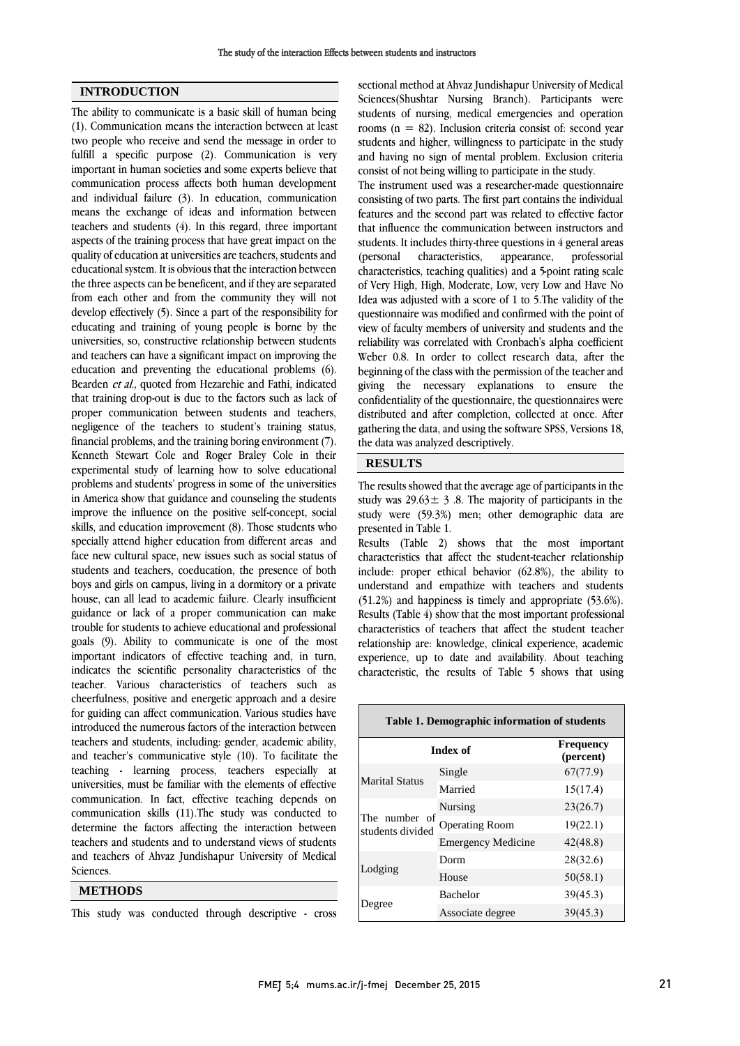### **INTRODUCTION**

The ability to communicate is a basic skill of human being (1). Communication means the interaction between at least two people who receive and send the message in order to fulfill a specific purpose (2). Communication is very important in human societies and some experts believe that communication process affects both human development and individual failure (3). In education, communication means the exchange of ideas and information between teachers and students (4). In this regard, three important aspects of the training process that have great impact on the quality of education at universities are teachers, students and educational system. It is obvious that the interaction between the three aspects can be beneficent, and if they are separated from each other and from the community they will not develop effectively (5). Since a part of the responsibility for educating and training of young people is borne by the universities, so, constructive relationship between students and teachers can have a significant impact on improving the education and preventing the educational problems (6). Bearden et al., quoted from Hezarehie and Fathi, indicated that training drop-out is due to the factors such as lack of proper communication between students and teachers, negligence of the teachers to student's training status, financial problems, and the training boring environment (7). Kenneth Stewart Cole and Roger Braley Cole in their experimental study of learning how to solve educational problems and students' progress in some of the universities in America show that guidance and counseling the students improve the influence on the positive self-concept, social skills, and education improvement (8). Those students who specially attend higher education from different areas and face new cultural space, new issues such as social status of students and teachers, coeducation, the presence of both boys and girls on campus, living in a dormitory or a private house, can all lead to academic failure. Clearly insufficient guidance or lack of a proper communication can make trouble for students to achieve educational and professional goals (9). Ability to communicate is one of the most important indicators of effective teaching and, in turn, indicates the scientific personality characteristics of the teacher. Various characteristics of teachers such as cheerfulness, positive and energetic approach and a desire for guiding can affect communication. Various studies have introduced the numerous factors of the interaction between teachers and students, including: gender, academic ability, and teacher's communicative style (10). To facilitate the teaching - learning process, teachers especially at universities, must be familiar with the elements of effective communication. In fact, effective teaching depends on communication skills (11).The study was conducted to determine the factors affecting the interaction between teachers and students and to understand views of students and teachers of Ahvaz Jundishapur University of Medical Sciences.

### **METHODS**

This study was conducted through descriptive - cross

sectional method at Ahvaz Jundishapur University of Medical Sciences(Shushtar Nursing Branch). Participants were students of nursing, medical emergencies and operation rooms (n = 82). Inclusion criteria consist of: second year students and higher, willingness to participate in the study and having no sign of mental problem. Exclusion criteria consist of not being willing to participate in the study.

The instrument used was a researcher-made questionnaire consisting of two parts. The first part contains the individual features and the second part was related to effective factor that influence the communication between instructors and students. It includes thirty-three questions in 4 general areas (personal characteristics, appearance, professorial characteristics, teaching qualities) and a 5-point rating scale of Very High, High, Moderate, Low, very Low and Have No Idea was adjusted with a score of 1 to 5.The validity of the questionnaire was modified and confirmed with the point of view of faculty members of university and students and the reliability was correlated with Cronbach's alpha coefficient Weber 0.8. In order to collect research data, after the beginning of the class with the permission of the teacher and giving the necessary explanations to ensure the confidentiality of the questionnaire, the questionnaires were distributed and after completion, collected at once. After gathering the data, and using the software SPSS, Versions 18, the data was analyzed descriptively.

## **RESULTS**

The results showed that the average age of participants in the study was  $29.63 \pm 3.8$ . The majority of participants in the study were (59.3%) men; other demographic data are presented in Table 1.

Results (Table 2) shows that the most important characteristics that affect the student-teacher relationship include: proper ethical behavior (62.8%), the ability to understand and empathize with teachers and students (51.2%) and happiness is timely and appropriate (53.6%). Results (Table 4) show that the most important professional characteristics of teachers that affect the student teacher relationship are: knowledge, clinical experience, academic experience, up to date and availability. About teaching characteristic, the results of Table 5 shows that using

| Table 1. Demographic information of students |                           |                               |  |  |  |  |
|----------------------------------------------|---------------------------|-------------------------------|--|--|--|--|
| Index of                                     |                           | <b>Frequency</b><br>(percent) |  |  |  |  |
|                                              | Single                    | 67(77.9)                      |  |  |  |  |
| <b>Marital Status</b>                        | Married                   | 15(17.4)                      |  |  |  |  |
| The number of<br>students divided            | Nursing                   | 23(26.7)                      |  |  |  |  |
|                                              | <b>Operating Room</b>     | 19(22.1)                      |  |  |  |  |
|                                              | <b>Emergency Medicine</b> | 42(48.8)                      |  |  |  |  |
| Lodging                                      | Dorm                      | 28(32.6)                      |  |  |  |  |
|                                              | House                     | 50(58.1)                      |  |  |  |  |
| egree                                        | <b>Bachelor</b>           | 39(45.3)                      |  |  |  |  |
|                                              | Associate degree          | 39(45.3)                      |  |  |  |  |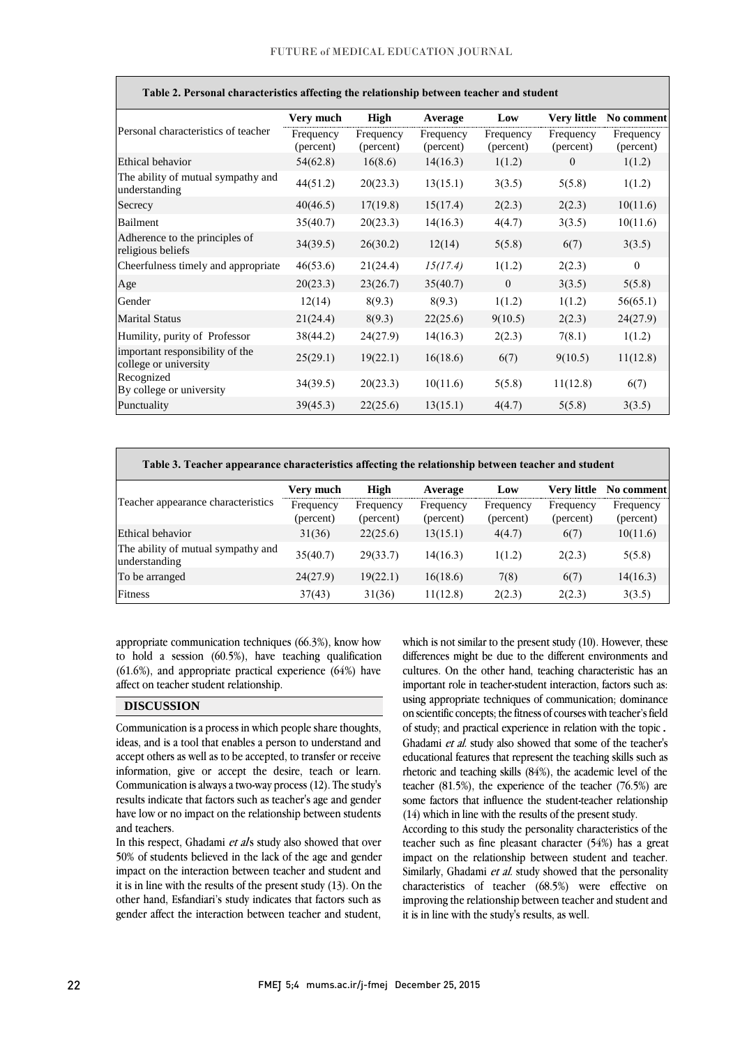| Table 2. Personal characteristics affecting the relationship between teacher and student |                        |                        |                        |                        |                        |                        |
|------------------------------------------------------------------------------------------|------------------------|------------------------|------------------------|------------------------|------------------------|------------------------|
|                                                                                          | Very much              | High                   | Average                | Low                    | <b>Very little</b>     | No comment             |
| Personal characteristics of teacher                                                      | Frequency<br>(percent) | Frequency<br>(percent) | Frequency<br>(percent) | Frequency<br>(percent) | Frequency<br>(percent) | Frequency<br>(percent) |
| Ethical behavior                                                                         | 54(62.8)               | 16(8.6)                | 14(16.3)               | 1(1.2)                 | $\theta$               | 1(1.2)                 |
| The ability of mutual sympathy and<br>understanding                                      | 44(51.2)               | 20(23.3)               | 13(15.1)               | 3(3.5)                 | 5(5.8)                 | 1(1.2)                 |
| Secrecy                                                                                  | 40(46.5)               | 17(19.8)               | 15(17.4)               | 2(2.3)                 | 2(2.3)                 | 10(11.6)               |
| Bailment                                                                                 | 35(40.7)               | 20(23.3)               | 14(16.3)               | 4(4.7)                 | 3(3.5)                 | 10(11.6)               |
| Adherence to the principles of<br>religious beliefs                                      | 34(39.5)               | 26(30.2)               | 12(14)                 | 5(5.8)                 | 6(7)                   | 3(3.5)                 |
| Cheerfulness timely and appropriate                                                      | 46(53.6)               | 21(24.4)               | 15(17.4)               | 1(1.2)                 | 2(2.3)                 | $\mathbf{0}$           |
| Age                                                                                      | 20(23.3)               | 23(26.7)               | 35(40.7)               | $\mathbf{0}$           | 3(3.5)                 | 5(5.8)                 |
| Gender                                                                                   | 12(14)                 | 8(9.3)                 | 8(9.3)                 | 1(1.2)                 | 1(1.2)                 | 56(65.1)               |
| <b>Marital Status</b>                                                                    | 21(24.4)               | 8(9.3)                 | 22(25.6)               | 9(10.5)                | 2(2.3)                 | 24(27.9)               |
| Humility, purity of Professor                                                            | 38(44.2)               | 24(27.9)               | 14(16.3)               | 2(2.3)                 | 7(8.1)                 | 1(1.2)                 |
| important responsibility of the<br>college or university                                 | 25(29.1)               | 19(22.1)               | 16(18.6)               | 6(7)                   | 9(10.5)                | 11(12.8)               |
| Recognized<br>By college or university                                                   | 34(39.5)               | 20(23.3)               | 10(11.6)               | 5(5.8)                 | 11(12.8)               | 6(7)                   |
| Punctuality                                                                              | 39(45.3)               | 22(25.6)               | 13(15.1)               | 4(4.7)                 | 5(5.8)                 | 3(3.5)                 |

| Table 3. Teacher appearance characteristics affecting the relationship between teacher and student |  |
|----------------------------------------------------------------------------------------------------|--|
|                                                                                                    |  |

|                                                     | Very much              | High                   | Average                | Low                    | Verv little            | No comment             |
|-----------------------------------------------------|------------------------|------------------------|------------------------|------------------------|------------------------|------------------------|
| Teacher appearance characteristics                  | Frequency<br>(percent) | Frequency<br>(percent) | Frequency<br>(percent) | Frequency<br>(percent) | Frequency<br>(percent) | Frequency<br>(percent) |
| Ethical behavior                                    | 31(36)                 | 22(25.6)               | 13(15.1)               | 4(4.7)                 | 6(7)                   | 10(11.6)               |
| The ability of mutual sympathy and<br>understanding | 35(40.7)               | 29(33.7)               | 14(16.3)               | 1(1.2)                 | 2(2.3)                 | 5(5.8)                 |
| To be arranged                                      | 24(27.9)               | 19(22.1)               | 16(18.6)               | 7(8)                   | 6(7)                   | 14(16.3)               |
| Fitness                                             | 37(43)                 | 31(36)                 | 11(12.8)               | 2(2.3)                 | 2(2.3)                 | 3(3.5)                 |

appropriate communication techniques (66.3%), know how to hold a session (60.5%), have teaching qualification (61.6%), and appropriate practical experience (64%) have affect on teacher student relationship.

## **DISCUSSION**

Communication is a process in which people share thoughts, ideas, and is a tool that enables a person to understand and accept others as well as to be accepted, to transfer or receive information, give or accept the desire, teach or learn. Communication is always a two-way process (12). The study's results indicate that factors such as teacher's age and gender have low or no impact on the relationship between students and teachers.

In this respect, Ghadami et als study also showed that over 50% of students believed in the lack of the age and gender impact on the interaction between teacher and student and it is in line with the results of the present study (13). On the other hand, Esfandiari's study indicates that factors such as gender affect the interaction between teacher and student,

which is not similar to the present study (10). However, these differences might be due to the different environments and cultures. On the other hand, teaching characteristic has an important role in teacher-student interaction, factors such as: using appropriate techniques of communication; dominance on scientific concepts; the fitness of courses with teacher's field of study; and practical experience in relation with the topic. Ghadami et al. study also showed that some of the teacher's educational features that represent the teaching skills such as rhetoric and teaching skills (84%), the academic level of the teacher (81.5%), the experience of the teacher (76.5%) are some factors that influence the student-teacher relationship (14) which in line with the results of the present study.

According to this study the personality characteristics of the teacher such as fine pleasant character (54%) has a great impact on the relationship between student and teacher. Similarly, Ghadami et al. study showed that the personality characteristics of teacher (68.5%) were effective on improving the relationship between teacher and student and it is in line with the study's results, as well.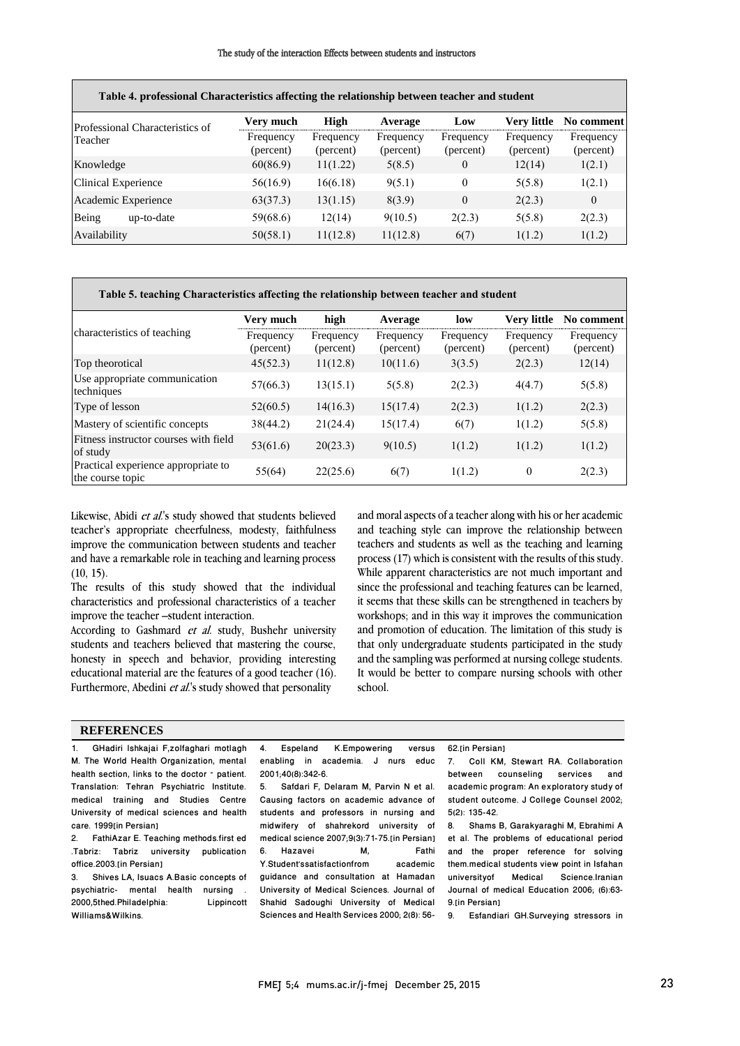| Table 4. professional Characteristics affecting the relationship between teacher and student |                        |                        |                        |                        |                        |                        |  |
|----------------------------------------------------------------------------------------------|------------------------|------------------------|------------------------|------------------------|------------------------|------------------------|--|
| Professional Characteristics of<br>Teacher                                                   | Very much              | High                   | Average                | Low                    | Very little            | No comment             |  |
|                                                                                              | Frequency<br>(percent) | Frequency<br>(percent) | Frequency<br>(percent) | Frequency<br>(percent) | Frequency<br>(percent) | Frequency<br>(percent) |  |
| Knowledge                                                                                    | 60(86.9)               | 11(1.22)               | 5(8.5)                 | $\theta$               | 12(14)                 | 1(2.1)                 |  |
| Clinical Experience                                                                          | 56(16.9)               | 16(6.18)               | 9(5.1)                 | $\Omega$               | 5(5.8)                 | 1(2.1)                 |  |
| Academic Experience                                                                          | 63(37.3)               | 13(1.15)               | 8(3.9)                 | $\theta$               | 2(2.3)                 | $\mathbf{0}$           |  |
| Being<br>up-to-date                                                                          | 59(68.6)               | 12(14)                 | 9(10.5)                | 2(2.3)                 | 5(5.8)                 | 2(2.3)                 |  |
| Availability                                                                                 | 50(58.1)               | 11(12.8)               | 11(12.8)               | 6(7)                   | 1(1.2)                 | 1(1.2)                 |  |

#### **Table 5. teaching Characteristics affecting the relationship between teacher and student**

|                                                         | Very much              | high                   | Average                | low                    | <b>Very little</b>     | No comment             |
|---------------------------------------------------------|------------------------|------------------------|------------------------|------------------------|------------------------|------------------------|
| characteristics of teaching                             | Frequency<br>(percent) | Frequency<br>(percent) | Frequency<br>(percent) | Frequency<br>(percent) | Frequency<br>(percent) | Frequency<br>(percent) |
| Top theorotical                                         | 45(52.3)               | 11(12.8)               | 10(11.6)               | 3(3.5)                 | 2(2.3)                 | 12(14)                 |
| Use appropriate communication<br>techniques             | 57(66.3)               | 13(15.1)               | 5(5.8)                 | 2(2.3)                 | 4(4.7)                 | 5(5.8)                 |
| Type of lesson                                          | 52(60.5)               | 14(16.3)               | 15(17.4)               | 2(2.3)                 | 1(1.2)                 | 2(2.3)                 |
| Mastery of scientific concepts                          | 38(44.2)               | 21(24.4)               | 15(17.4)               | 6(7)                   | 1(1.2)                 | 5(5.8)                 |
| Fitness instructor courses with field<br>of study       | 53(61.6)               | 20(23.3)               | 9(10.5)                | 1(1.2)                 | 1(1.2)                 | 1(1.2)                 |
| Practical experience appropriate to<br>the course topic | 55(64)                 | 22(25.6)               | 6(7)                   | 1(1.2)                 | $\theta$               | 2(2.3)                 |

Likewise, Abidi et al.'s study showed that students believed teacher's appropriate cheerfulness, modesty, faithfulness improve the communication between students and teacher and have a remarkable role in teaching and learning process  $(10, 15)$ .

The results of this study showed that the individual characteristics and professional characteristics of a teacher improve the teacher –student interaction.

According to Gashmard et al. study, Bushehr university students and teachers believed that mastering the course, honesty in speech and behavior, providing interesting educational material are the features of a good teacher (16). Furthermore, Abedini et al.'s study showed that personality

and moral aspects of a teacher along with his or her academic and teaching style can improve the relationship between teachers and students as well as the teaching and learning process (17) which is consistent with the results of this study. While apparent characteristics are not much important and since the professional and teaching features can be learned, it seems that these skills can be strengthened in teachers by workshops; and in this way it improves the communication and promotion of education. The limitation of this study is that only undergraduate students participated in the study and the sampling was performed at nursing college students. It would be better to compare nursing schools with other school.

### **REFERENCES**

1. GHadiri lshkajai F,zolfaghari motlagh M. The World Health Organization, mental health section, links to the doctor – patient. Translation: Tehran Psychiatric Institute. medical training and Studies Centre University of medical sciences and health care. 1999[in Persian]

2. FathiAzar E. Teaching methods.first ed .Tabriz: Tabriz university publication office.2003.[in Persian]

3. Shives LA, Isuacs A.Basic concepts of psychiatric- mental health nursing .<br>2000.5thed.Philadelphia: Lippincott 2000,5thed.Philadelphia: Williams&Wilkins.

4. Espeland K.Empowering versus enabling in academia. J nurs educ

2001;40(8):342-6. 5. Safdari F, Delaram M, Parvin N et al. Causing factors on academic advance of students and professors in nursing and midwifery of shahrekord university of medical science 2007;9(3):71-75.[in Persian]<br>6. Hazavei M. Fathi Hazavei M, Fathi<br>udent'ssatisfactionfrom academic Y.Student'ssatisfactionfrom guidance and consultation at Hamadan University of Medical Sciences. Journal of Shahid Sadoughi University of Medical Sciences and Health Services 2000; 2(8): 56-

#### 62.[in Persian]

7. Coll KM, Stewart RA. Collaboration counseling academic program: An exploratory study of student outcome. J College Counsel 2002; 5(2): 135-42.

8. Shams B, Garakyaraghi M, Ebrahimi A et al. The problems of educational period and the proper reference for solving them.medical students view point in Isfahan<br>university of Medical Science.Iranian Medical Science.Iranian Journal of medical Education 2006; (6):63- 9.[in Persian]<br>9 Esfandis

9. Esfandiari GH.Surveying stressors in